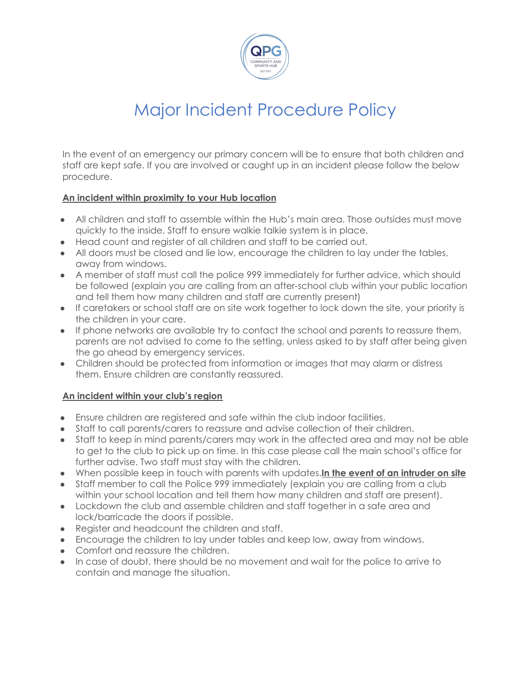

# Major Incident Procedure Policy

In the event of an emergency our primary concern will be to ensure that both children and staff are kept safe. If you are involved or caught up in an incident please follow the below procedure.

### **An incident within proximity to your Hub location**

- All children and staff to assemble within the Hub's main area. Those outsides must move quickly to the inside, Staff to ensure walkie talkie system is in place.
- Head count and register of all children and staff to be carried out.
- All doors must be closed and lie low, encourage the children to lay under the tables, away from windows.
- A member of staff must call the police 999 immediately for further advice, which should be followed (explain you are calling from an after-school club within your public location and tell them how many children and staff are currently present)
- If caretakers or school staff are on site work together to lock down the site, your priority is the children in your care.
- If phone networks are available try to contact the school and parents to reassure them, parents are not advised to come to the setting, unless asked to by staff after being given the go ahead by emergency services.
- Children should be protected from information or images that may alarm or distress them. Ensure children are constantly reassured.

### **An incident within your club's region**

- Ensure children are registered and safe within the club indoor facilities.
- Staff to call parents/carers to reassure and advise collection of their children.
- Staff to keep in mind parents/carers may work in the affected area and may not be able to get to the club to pick up on time. In this case please call the main school's office for further advise. Two staff must stay with the children.
- When possible keep in touch with parents with updates.**In the event of an intruder on site**
- Staff member to call the Police 999 immediately (explain you are calling from a club within your school location and tell them how many children and staff are present).
- Lockdown the club and assemble children and staff together in a safe area and lock/barricade the doors if possible.
- Register and headcount the children and staff.
- Encourage the children to lay under tables and keep low, away from windows.
- Comfort and reassure the children.
- In case of doubt, there should be no movement and wait for the police to arrive to contain and manage the situation.